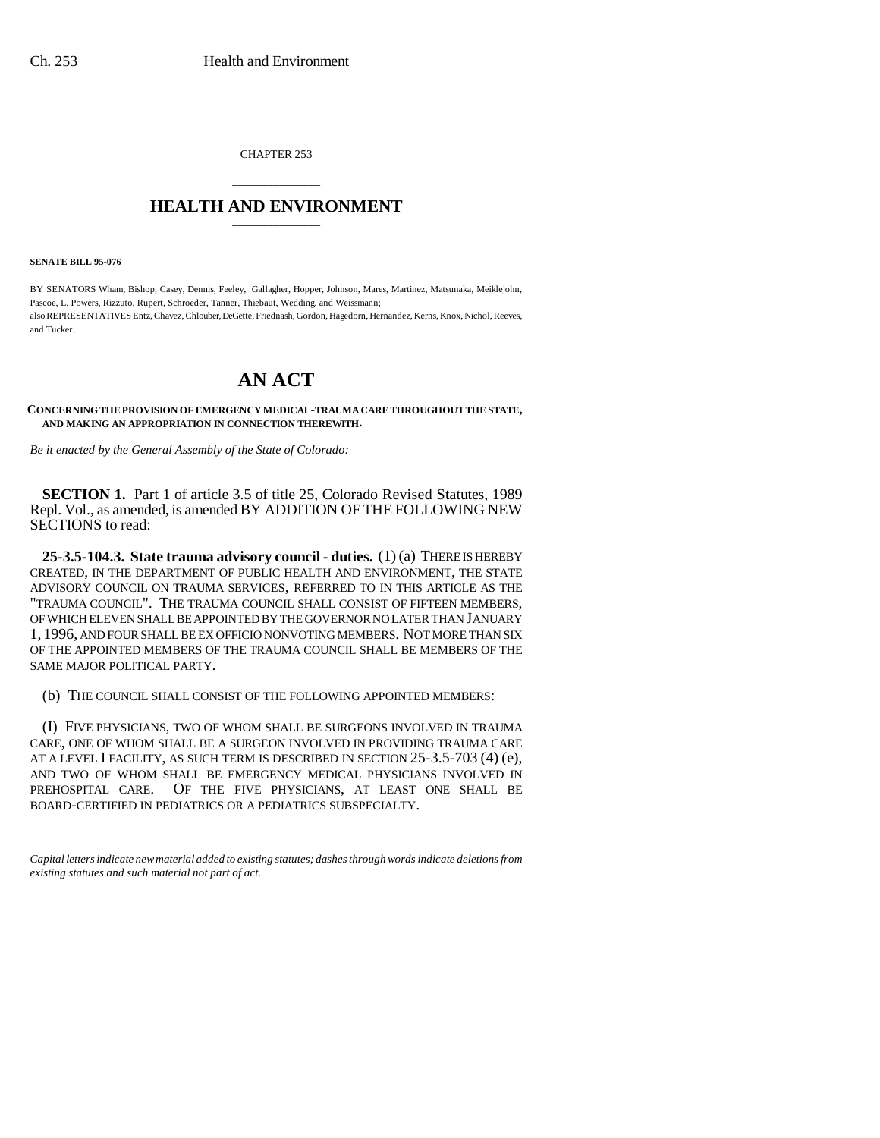CHAPTER 253

# \_\_\_\_\_\_\_\_\_\_\_\_\_\_\_ **HEALTH AND ENVIRONMENT** \_\_\_\_\_\_\_\_\_\_\_\_\_\_\_

**SENATE BILL 95-076**

BY SENATORS Wham, Bishop, Casey, Dennis, Feeley, Gallagher, Hopper, Johnson, Mares, Martinez, Matsunaka, Meiklejohn, Pascoe, L. Powers, Rizzuto, Rupert, Schroeder, Tanner, Thiebaut, Wedding, and Weissmann; also REPRESENTATIVES Entz, Chavez, Chlouber, DeGette, Friednash, Gordon, Hagedorn, Hernandez, Kerns, Knox, Nichol, Reeves, and Tucker.

# **AN ACT**

**CONCERNING THE PROVISION OF EMERGENCY MEDICAL-TRAUMA CARE THROUGHOUT THE STATE, AND MAKING AN APPROPRIATION IN CONNECTION THEREWITH.**

*Be it enacted by the General Assembly of the State of Colorado:*

**SECTION 1.** Part 1 of article 3.5 of title 25, Colorado Revised Statutes, 1989 Repl. Vol., as amended, is amended BY ADDITION OF THE FOLLOWING NEW SECTIONS to read:

**25-3.5-104.3. State trauma advisory council - duties.** (1) (a) THERE IS HEREBY CREATED, IN THE DEPARTMENT OF PUBLIC HEALTH AND ENVIRONMENT, THE STATE ADVISORY COUNCIL ON TRAUMA SERVICES, REFERRED TO IN THIS ARTICLE AS THE "TRAUMA COUNCIL". THE TRAUMA COUNCIL SHALL CONSIST OF FIFTEEN MEMBERS, OF WHICH ELEVEN SHALL BE APPOINTED BY THE GOVERNOR NO LATER THAN JANUARY 1, 1996, AND FOUR SHALL BE EX OFFICIO NONVOTING MEMBERS. NOT MORE THAN SIX OF THE APPOINTED MEMBERS OF THE TRAUMA COUNCIL SHALL BE MEMBERS OF THE SAME MAJOR POLITICAL PARTY.

(b) THE COUNCIL SHALL CONSIST OF THE FOLLOWING APPOINTED MEMBERS:

CARE, ONE OF WHOM SHALL BE A SURGEON INVOLVED IN PROVIDING TRAUMA CARE (I) FIVE PHYSICIANS, TWO OF WHOM SHALL BE SURGEONS INVOLVED IN TRAUMA AT A LEVEL I FACILITY, AS SUCH TERM IS DESCRIBED IN SECTION 25-3.5-703 (4) (e), AND TWO OF WHOM SHALL BE EMERGENCY MEDICAL PHYSICIANS INVOLVED IN PREHOSPITAL CARE. OF THE FIVE PHYSICIANS, AT LEAST ONE SHALL BE BOARD-CERTIFIED IN PEDIATRICS OR A PEDIATRICS SUBSPECIALTY.

*Capital letters indicate new material added to existing statutes; dashes through words indicate deletions from existing statutes and such material not part of act.*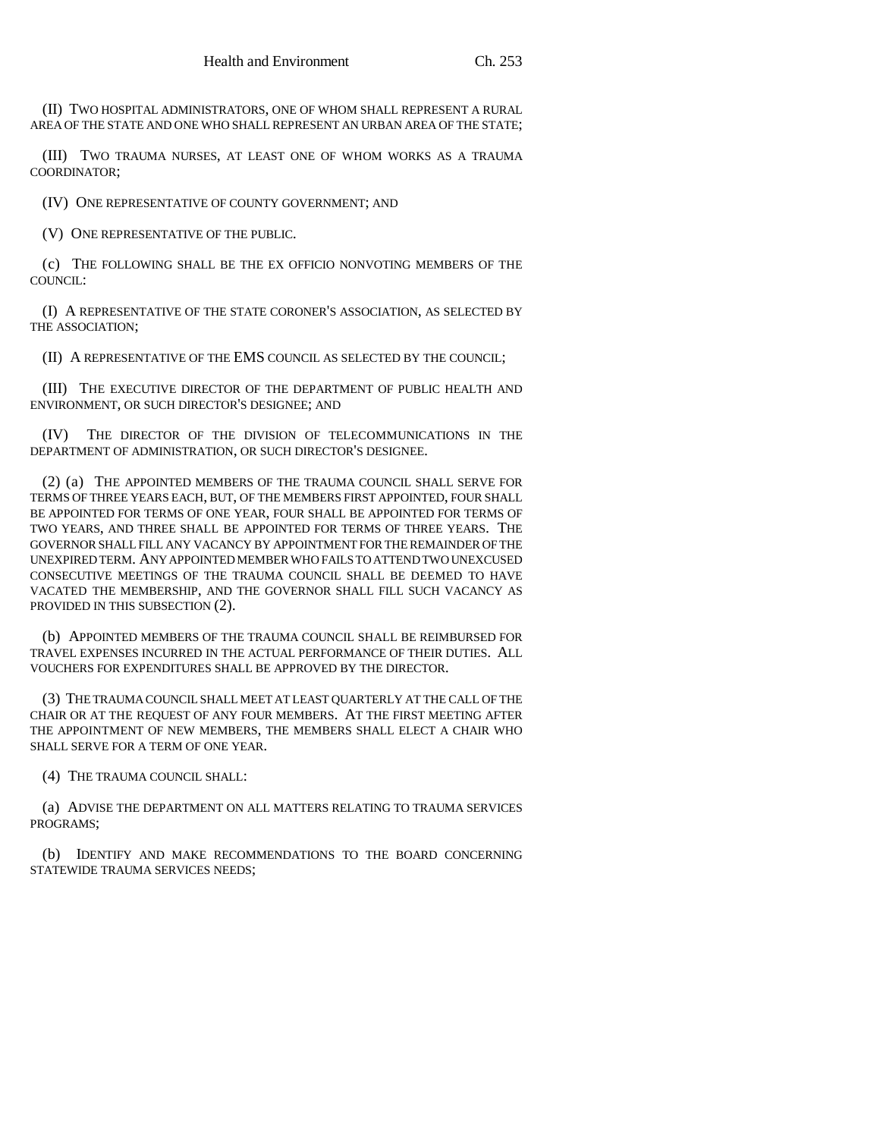(II) TWO HOSPITAL ADMINISTRATORS, ONE OF WHOM SHALL REPRESENT A RURAL AREA OF THE STATE AND ONE WHO SHALL REPRESENT AN URBAN AREA OF THE STATE;

(III) TWO TRAUMA NURSES, AT LEAST ONE OF WHOM WORKS AS A TRAUMA COORDINATOR;

(IV) ONE REPRESENTATIVE OF COUNTY GOVERNMENT; AND

(V) ONE REPRESENTATIVE OF THE PUBLIC.

(c) THE FOLLOWING SHALL BE THE EX OFFICIO NONVOTING MEMBERS OF THE COUNCIL:

(I) A REPRESENTATIVE OF THE STATE CORONER'S ASSOCIATION, AS SELECTED BY THE ASSOCIATION;

(II) A REPRESENTATIVE OF THE EMS COUNCIL AS SELECTED BY THE COUNCIL;

(III) THE EXECUTIVE DIRECTOR OF THE DEPARTMENT OF PUBLIC HEALTH AND ENVIRONMENT, OR SUCH DIRECTOR'S DESIGNEE; AND

(IV) THE DIRECTOR OF THE DIVISION OF TELECOMMUNICATIONS IN THE DEPARTMENT OF ADMINISTRATION, OR SUCH DIRECTOR'S DESIGNEE.

(2) (a) THE APPOINTED MEMBERS OF THE TRAUMA COUNCIL SHALL SERVE FOR TERMS OF THREE YEARS EACH, BUT, OF THE MEMBERS FIRST APPOINTED, FOUR SHALL BE APPOINTED FOR TERMS OF ONE YEAR, FOUR SHALL BE APPOINTED FOR TERMS OF TWO YEARS, AND THREE SHALL BE APPOINTED FOR TERMS OF THREE YEARS. THE GOVERNOR SHALL FILL ANY VACANCY BY APPOINTMENT FOR THE REMAINDER OF THE UNEXPIRED TERM. ANY APPOINTED MEMBER WHO FAILS TO ATTEND TWO UNEXCUSED CONSECUTIVE MEETINGS OF THE TRAUMA COUNCIL SHALL BE DEEMED TO HAVE VACATED THE MEMBERSHIP, AND THE GOVERNOR SHALL FILL SUCH VACANCY AS PROVIDED IN THIS SUBSECTION (2).

(b) APPOINTED MEMBERS OF THE TRAUMA COUNCIL SHALL BE REIMBURSED FOR TRAVEL EXPENSES INCURRED IN THE ACTUAL PERFORMANCE OF THEIR DUTIES. ALL VOUCHERS FOR EXPENDITURES SHALL BE APPROVED BY THE DIRECTOR.

(3) THE TRAUMA COUNCIL SHALL MEET AT LEAST QUARTERLY AT THE CALL OF THE CHAIR OR AT THE REQUEST OF ANY FOUR MEMBERS. AT THE FIRST MEETING AFTER THE APPOINTMENT OF NEW MEMBERS, THE MEMBERS SHALL ELECT A CHAIR WHO SHALL SERVE FOR A TERM OF ONE YEAR.

(4) THE TRAUMA COUNCIL SHALL:

(a) ADVISE THE DEPARTMENT ON ALL MATTERS RELATING TO TRAUMA SERVICES PROGRAMS;

(b) IDENTIFY AND MAKE RECOMMENDATIONS TO THE BOARD CONCERNING STATEWIDE TRAUMA SERVICES NEEDS;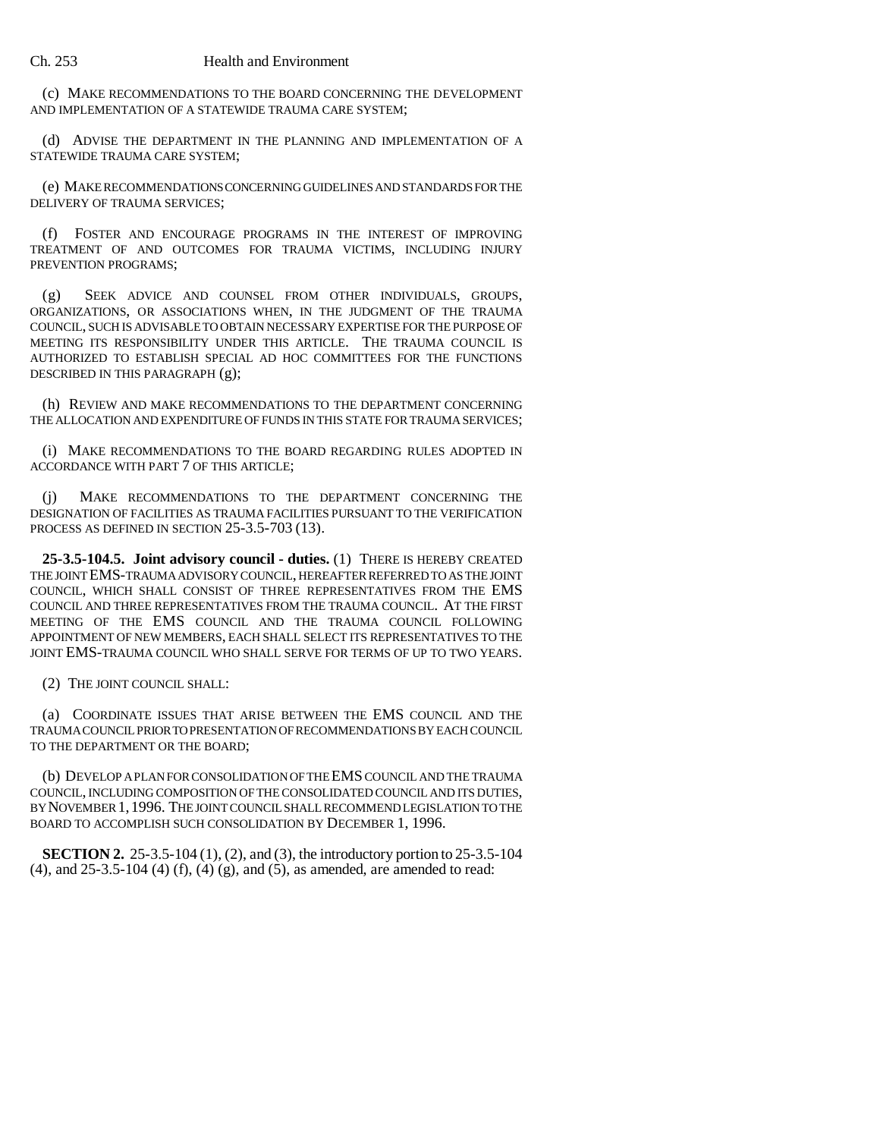(c) MAKE RECOMMENDATIONS TO THE BOARD CONCERNING THE DEVELOPMENT AND IMPLEMENTATION OF A STATEWIDE TRAUMA CARE SYSTEM;

(d) ADVISE THE DEPARTMENT IN THE PLANNING AND IMPLEMENTATION OF A STATEWIDE TRAUMA CARE SYSTEM;

(e) MAKE RECOMMENDATIONS CONCERNING GUIDELINES AND STANDARDS FOR THE DELIVERY OF TRAUMA SERVICES;

(f) FOSTER AND ENCOURAGE PROGRAMS IN THE INTEREST OF IMPROVING TREATMENT OF AND OUTCOMES FOR TRAUMA VICTIMS, INCLUDING INJURY PREVENTION PROGRAMS;

(g) SEEK ADVICE AND COUNSEL FROM OTHER INDIVIDUALS, GROUPS, ORGANIZATIONS, OR ASSOCIATIONS WHEN, IN THE JUDGMENT OF THE TRAUMA COUNCIL, SUCH IS ADVISABLE TO OBTAIN NECESSARY EXPERTISE FOR THE PURPOSE OF MEETING ITS RESPONSIBILITY UNDER THIS ARTICLE. THE TRAUMA COUNCIL IS AUTHORIZED TO ESTABLISH SPECIAL AD HOC COMMITTEES FOR THE FUNCTIONS DESCRIBED IN THIS PARAGRAPH (g);

(h) REVIEW AND MAKE RECOMMENDATIONS TO THE DEPARTMENT CONCERNING THE ALLOCATION AND EXPENDITURE OF FUNDS IN THIS STATE FOR TRAUMA SERVICES;

(i) MAKE RECOMMENDATIONS TO THE BOARD REGARDING RULES ADOPTED IN ACCORDANCE WITH PART 7 OF THIS ARTICLE;

(j) MAKE RECOMMENDATIONS TO THE DEPARTMENT CONCERNING THE DESIGNATION OF FACILITIES AS TRAUMA FACILITIES PURSUANT TO THE VERIFICATION PROCESS AS DEFINED IN SECTION 25-3.5-703 (13).

**25-3.5-104.5. Joint advisory council - duties.** (1) THERE IS HEREBY CREATED THE JOINT EMS-TRAUMA ADVISORY COUNCIL, HEREAFTER REFERRED TO AS THE JOINT COUNCIL, WHICH SHALL CONSIST OF THREE REPRESENTATIVES FROM THE EMS COUNCIL AND THREE REPRESENTATIVES FROM THE TRAUMA COUNCIL. AT THE FIRST MEETING OF THE EMS COUNCIL AND THE TRAUMA COUNCIL FOLLOWING APPOINTMENT OF NEW MEMBERS, EACH SHALL SELECT ITS REPRESENTATIVES TO THE JOINT EMS-TRAUMA COUNCIL WHO SHALL SERVE FOR TERMS OF UP TO TWO YEARS.

(2) THE JOINT COUNCIL SHALL:

(a) COORDINATE ISSUES THAT ARISE BETWEEN THE EMS COUNCIL AND THE TRAUMA COUNCIL PRIOR TO PRESENTATION OF RECOMMENDATIONS BY EACH COUNCIL TO THE DEPARTMENT OR THE BOARD;

(b) DEVELOP A PLAN FOR CONSOLIDATION OF THE EMS COUNCIL AND THE TRAUMA COUNCIL, INCLUDING COMPOSITION OF THE CONSOLIDATED COUNCIL AND ITS DUTIES, BY NOVEMBER 1,1996. THE JOINT COUNCIL SHALL RECOMMEND LEGISLATION TO THE BOARD TO ACCOMPLISH SUCH CONSOLIDATION BY DECEMBER 1, 1996.

**SECTION 2.** 25-3.5-104 (1), (2), and (3), the introductory portion to 25-3.5-104 (4), and 25-3.5-104 (4) (f), (4) (g), and (5), as amended, are amended to read: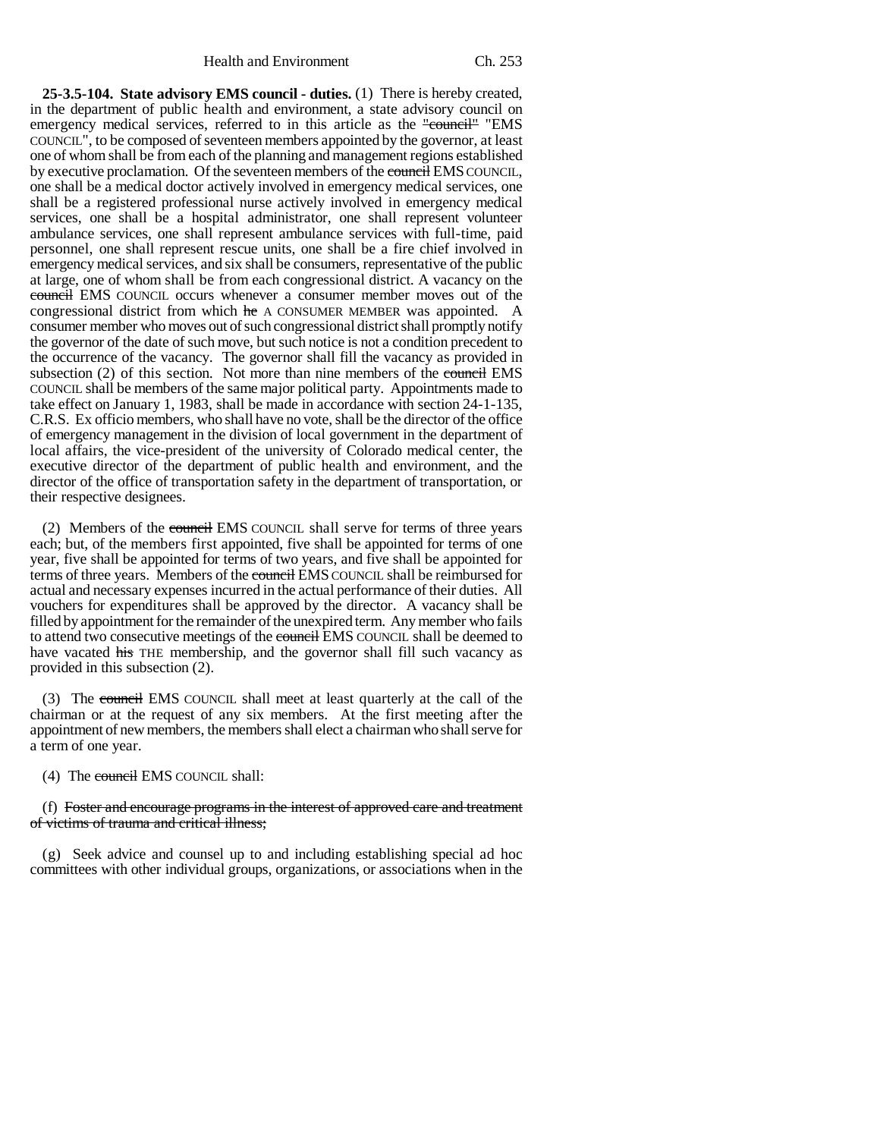**25-3.5-104. State advisory EMS council - duties.** (1) There is hereby created, in the department of public health and environment, a state advisory council on emergency medical services, referred to in this article as the "council" "EMS COUNCIL", to be composed of seventeen members appointed by the governor, at least one of whom shall be from each of the planning and management regions established by executive proclamation. Of the seventeen members of the council EMS COUNCIL, one shall be a medical doctor actively involved in emergency medical services, one shall be a registered professional nurse actively involved in emergency medical services, one shall be a hospital administrator, one shall represent volunteer ambulance services, one shall represent ambulance services with full-time, paid personnel, one shall represent rescue units, one shall be a fire chief involved in emergency medical services, and six shall be consumers, representative of the public at large, one of whom shall be from each congressional district. A vacancy on the council EMS COUNCIL occurs whenever a consumer member moves out of the congressional district from which he A CONSUMER MEMBER was appointed. A consumer member who moves out of such congressional district shall promptly notify the governor of the date of such move, but such notice is not a condition precedent to the occurrence of the vacancy. The governor shall fill the vacancy as provided in subsection (2) of this section. Not more than nine members of the council EMS COUNCIL shall be members of the same major political party. Appointments made to take effect on January 1, 1983, shall be made in accordance with section 24-1-135, C.R.S. Ex officio members, who shall have no vote, shall be the director of the office of emergency management in the division of local government in the department of local affairs, the vice-president of the university of Colorado medical center, the executive director of the department of public health and environment, and the director of the office of transportation safety in the department of transportation, or their respective designees.

(2) Members of the council EMS COUNCIL shall serve for terms of three years each; but, of the members first appointed, five shall be appointed for terms of one year, five shall be appointed for terms of two years, and five shall be appointed for terms of three years. Members of the council EMS COUNCIL shall be reimbursed for actual and necessary expenses incurred in the actual performance of their duties. All vouchers for expenditures shall be approved by the director. A vacancy shall be filled by appointment for the remainder of the unexpired term. Any member who fails to attend two consecutive meetings of the council EMS COUNCIL shall be deemed to have vacated his THE membership, and the governor shall fill such vacancy as provided in this subsection (2).

(3) The council EMS COUNCIL shall meet at least quarterly at the call of the chairman or at the request of any six members. At the first meeting after the appointment of new members, the members shall elect a chairman who shall serve for a term of one year.

(4) The council EMS COUNCIL shall:

#### (f) Foster and encourage programs in the interest of approved care and treatment of victims of trauma and critical illness;

(g) Seek advice and counsel up to and including establishing special ad hoc committees with other individual groups, organizations, or associations when in the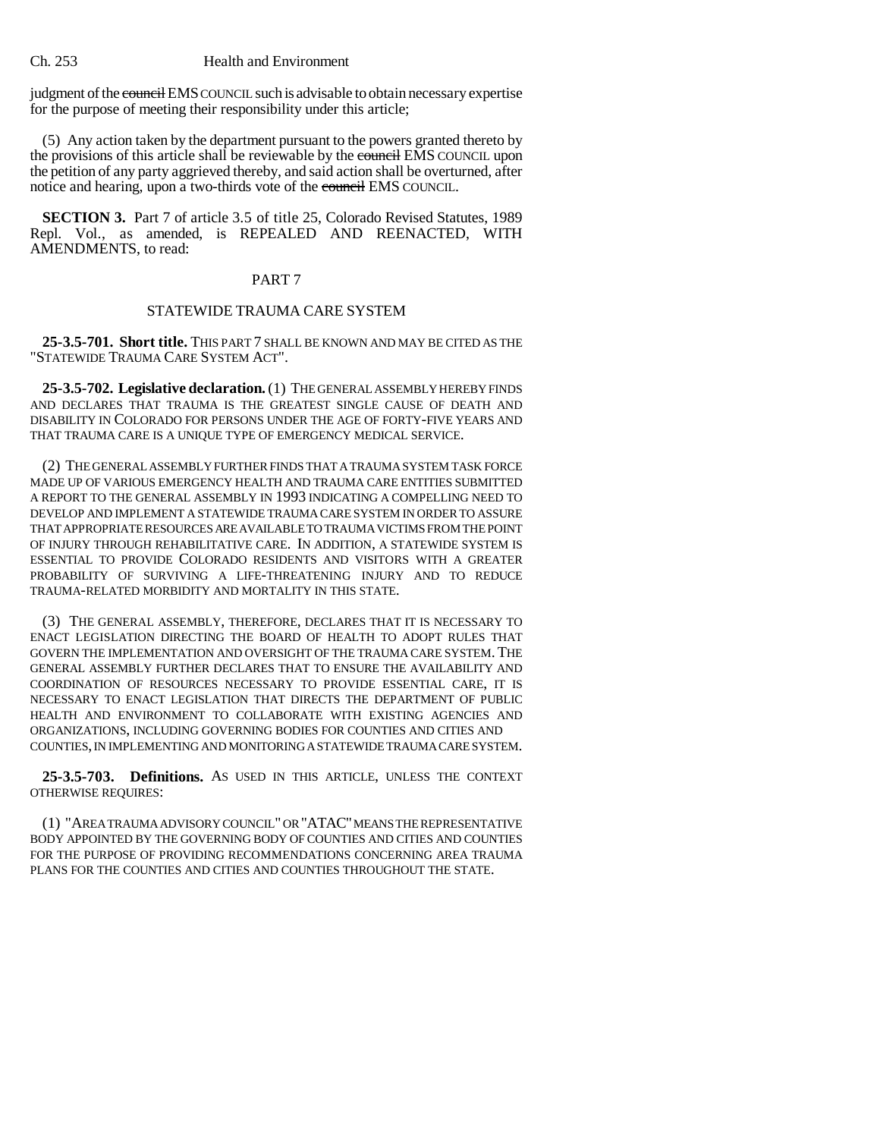judgment of the council EMS COUNCIL such is advisable to obtain necessary expertise for the purpose of meeting their responsibility under this article;

(5) Any action taken by the department pursuant to the powers granted thereto by the provisions of this article shall be reviewable by the council EMS COUNCIL upon the petition of any party aggrieved thereby, and said action shall be overturned, after notice and hearing, upon a two-thirds vote of the council EMS COUNCIL.

**SECTION 3.** Part 7 of article 3.5 of title 25, Colorado Revised Statutes, 1989 Repl. Vol., as amended, is REPEALED AND REENACTED, WITH AMENDMENTS, to read:

# PART 7

## STATEWIDE TRAUMA CARE SYSTEM

**25-3.5-701. Short title.** THIS PART 7 SHALL BE KNOWN AND MAY BE CITED AS THE "STATEWIDE TRAUMA CARE SYSTEM ACT".

**25-3.5-702. Legislative declaration.** (1) THE GENERAL ASSEMBLY HEREBY FINDS AND DECLARES THAT TRAUMA IS THE GREATEST SINGLE CAUSE OF DEATH AND DISABILITY IN COLORADO FOR PERSONS UNDER THE AGE OF FORTY-FIVE YEARS AND THAT TRAUMA CARE IS A UNIQUE TYPE OF EMERGENCY MEDICAL SERVICE.

(2) THE GENERAL ASSEMBLY FURTHER FINDS THAT A TRAUMA SYSTEM TASK FORCE MADE UP OF VARIOUS EMERGENCY HEALTH AND TRAUMA CARE ENTITIES SUBMITTED A REPORT TO THE GENERAL ASSEMBLY IN 1993 INDICATING A COMPELLING NEED TO DEVELOP AND IMPLEMENT A STATEWIDE TRAUMA CARE SYSTEM IN ORDER TO ASSURE THAT APPROPRIATE RESOURCES ARE AVAILABLE TO TRAUMA VICTIMS FROM THE POINT OF INJURY THROUGH REHABILITATIVE CARE. IN ADDITION, A STATEWIDE SYSTEM IS ESSENTIAL TO PROVIDE COLORADO RESIDENTS AND VISITORS WITH A GREATER PROBABILITY OF SURVIVING A LIFE-THREATENING INJURY AND TO REDUCE TRAUMA-RELATED MORBIDITY AND MORTALITY IN THIS STATE.

(3) THE GENERAL ASSEMBLY, THEREFORE, DECLARES THAT IT IS NECESSARY TO ENACT LEGISLATION DIRECTING THE BOARD OF HEALTH TO ADOPT RULES THAT GOVERN THE IMPLEMENTATION AND OVERSIGHT OF THE TRAUMA CARE SYSTEM. THE GENERAL ASSEMBLY FURTHER DECLARES THAT TO ENSURE THE AVAILABILITY AND COORDINATION OF RESOURCES NECESSARY TO PROVIDE ESSENTIAL CARE, IT IS NECESSARY TO ENACT LEGISLATION THAT DIRECTS THE DEPARTMENT OF PUBLIC HEALTH AND ENVIRONMENT TO COLLABORATE WITH EXISTING AGENCIES AND ORGANIZATIONS, INCLUDING GOVERNING BODIES FOR COUNTIES AND CITIES AND COUNTIES, IN IMPLEMENTING AND MONITORING A STATEWIDE TRAUMA CARE SYSTEM.

**25-3.5-703. Definitions.** AS USED IN THIS ARTICLE, UNLESS THE CONTEXT OTHERWISE REQUIRES:

(1) "AREA TRAUMA ADVISORY COUNCIL" OR "ATAC" MEANS THE REPRESENTATIVE BODY APPOINTED BY THE GOVERNING BODY OF COUNTIES AND CITIES AND COUNTIES FOR THE PURPOSE OF PROVIDING RECOMMENDATIONS CONCERNING AREA TRAUMA PLANS FOR THE COUNTIES AND CITIES AND COUNTIES THROUGHOUT THE STATE.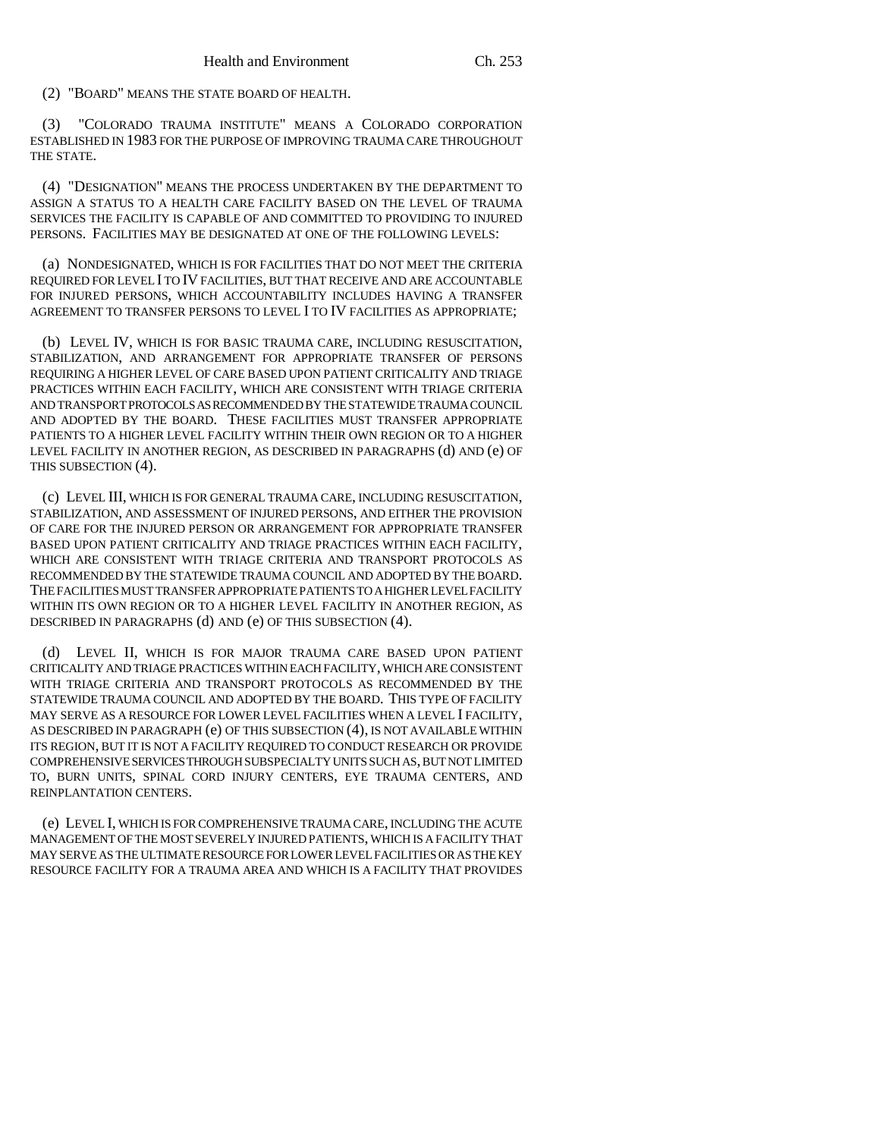(2) "BOARD" MEANS THE STATE BOARD OF HEALTH.

(3) "COLORADO TRAUMA INSTITUTE" MEANS A COLORADO CORPORATION ESTABLISHED IN 1983 FOR THE PURPOSE OF IMPROVING TRAUMA CARE THROUGHOUT THE STATE.

(4) "DESIGNATION" MEANS THE PROCESS UNDERTAKEN BY THE DEPARTMENT TO ASSIGN A STATUS TO A HEALTH CARE FACILITY BASED ON THE LEVEL OF TRAUMA SERVICES THE FACILITY IS CAPABLE OF AND COMMITTED TO PROVIDING TO INJURED PERSONS. FACILITIES MAY BE DESIGNATED AT ONE OF THE FOLLOWING LEVELS:

(a) NONDESIGNATED, WHICH IS FOR FACILITIES THAT DO NOT MEET THE CRITERIA REQUIRED FOR LEVEL I TO IV FACILITIES, BUT THAT RECEIVE AND ARE ACCOUNTABLE FOR INJURED PERSONS, WHICH ACCOUNTABILITY INCLUDES HAVING A TRANSFER AGREEMENT TO TRANSFER PERSONS TO LEVEL I TO IV FACILITIES AS APPROPRIATE;

(b) LEVEL IV, WHICH IS FOR BASIC TRAUMA CARE, INCLUDING RESUSCITATION, STABILIZATION, AND ARRANGEMENT FOR APPROPRIATE TRANSFER OF PERSONS REQUIRING A HIGHER LEVEL OF CARE BASED UPON PATIENT CRITICALITY AND TRIAGE PRACTICES WITHIN EACH FACILITY, WHICH ARE CONSISTENT WITH TRIAGE CRITERIA AND TRANSPORT PROTOCOLS AS RECOMMENDED BY THE STATEWIDE TRAUMA COUNCIL AND ADOPTED BY THE BOARD. THESE FACILITIES MUST TRANSFER APPROPRIATE PATIENTS TO A HIGHER LEVEL FACILITY WITHIN THEIR OWN REGION OR TO A HIGHER LEVEL FACILITY IN ANOTHER REGION, AS DESCRIBED IN PARAGRAPHS (d) AND (e) OF THIS SUBSECTION (4).

(c) LEVEL III, WHICH IS FOR GENERAL TRAUMA CARE, INCLUDING RESUSCITATION, STABILIZATION, AND ASSESSMENT OF INJURED PERSONS, AND EITHER THE PROVISION OF CARE FOR THE INJURED PERSON OR ARRANGEMENT FOR APPROPRIATE TRANSFER BASED UPON PATIENT CRITICALITY AND TRIAGE PRACTICES WITHIN EACH FACILITY, WHICH ARE CONSISTENT WITH TRIAGE CRITERIA AND TRANSPORT PROTOCOLS AS RECOMMENDED BY THE STATEWIDE TRAUMA COUNCIL AND ADOPTED BY THE BOARD. THE FACILITIES MUST TRANSFER APPROPRIATE PATIENTS TO A HIGHER LEVEL FACILITY WITHIN ITS OWN REGION OR TO A HIGHER LEVEL FACILITY IN ANOTHER REGION, AS DESCRIBED IN PARAGRAPHS (d) AND (e) OF THIS SUBSECTION (4).

(d) LEVEL II, WHICH IS FOR MAJOR TRAUMA CARE BASED UPON PATIENT CRITICALITY AND TRIAGE PRACTICES WITHIN EACH FACILITY, WHICH ARE CONSISTENT WITH TRIAGE CRITERIA AND TRANSPORT PROTOCOLS AS RECOMMENDED BY THE STATEWIDE TRAUMA COUNCIL AND ADOPTED BY THE BOARD. THIS TYPE OF FACILITY MAY SERVE AS A RESOURCE FOR LOWER LEVEL FACILITIES WHEN A LEVEL I FACILITY, AS DESCRIBED IN PARAGRAPH (e) OF THIS SUBSECTION (4), IS NOT AVAILABLE WITHIN ITS REGION, BUT IT IS NOT A FACILITY REQUIRED TO CONDUCT RESEARCH OR PROVIDE COMPREHENSIVE SERVICES THROUGH SUBSPECIALTY UNITS SUCH AS, BUT NOT LIMITED TO, BURN UNITS, SPINAL CORD INJURY CENTERS, EYE TRAUMA CENTERS, AND REINPLANTATION CENTERS.

(e) LEVEL I, WHICH IS FOR COMPREHENSIVE TRAUMA CARE, INCLUDING THE ACUTE MANAGEMENT OF THE MOST SEVERELY INJURED PATIENTS, WHICH IS A FACILITY THAT MAY SERVE AS THE ULTIMATE RESOURCE FOR LOWER LEVEL FACILITIES OR AS THE KEY RESOURCE FACILITY FOR A TRAUMA AREA AND WHICH IS A FACILITY THAT PROVIDES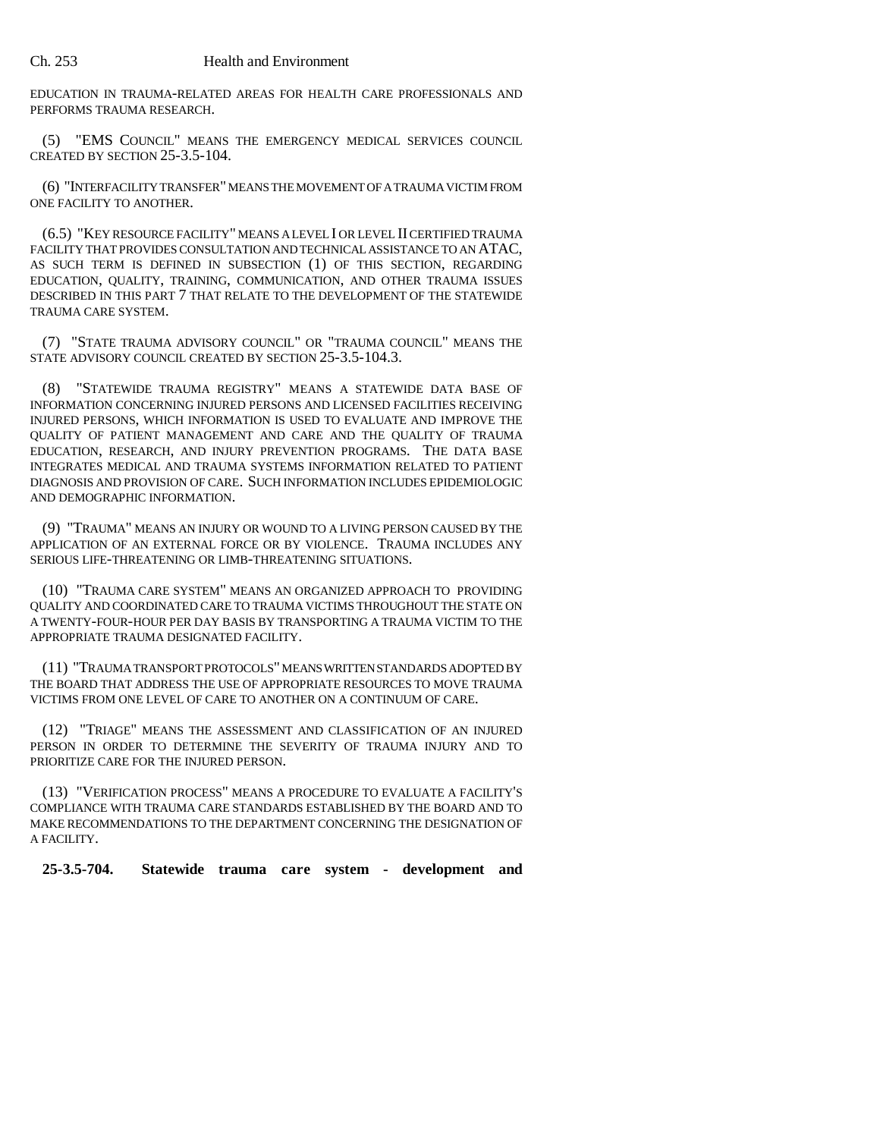EDUCATION IN TRAUMA-RELATED AREAS FOR HEALTH CARE PROFESSIONALS AND PERFORMS TRAUMA RESEARCH.

(5) "EMS COUNCIL" MEANS THE EMERGENCY MEDICAL SERVICES COUNCIL CREATED BY SECTION 25-3.5-104.

(6) "INTERFACILITY TRANSFER" MEANS THE MOVEMENT OF A TRAUMA VICTIM FROM ONE FACILITY TO ANOTHER.

(6.5) "KEY RESOURCE FACILITY" MEANS A LEVEL I OR LEVEL II CERTIFIED TRAUMA FACILITY THAT PROVIDES CONSULTATION AND TECHNICAL ASSISTANCE TO AN ATAC, AS SUCH TERM IS DEFINED IN SUBSECTION (1) OF THIS SECTION, REGARDING EDUCATION, QUALITY, TRAINING, COMMUNICATION, AND OTHER TRAUMA ISSUES DESCRIBED IN THIS PART 7 THAT RELATE TO THE DEVELOPMENT OF THE STATEWIDE TRAUMA CARE SYSTEM.

(7) "STATE TRAUMA ADVISORY COUNCIL" OR "TRAUMA COUNCIL" MEANS THE STATE ADVISORY COUNCIL CREATED BY SECTION 25-3.5-104.3.

(8) "STATEWIDE TRAUMA REGISTRY" MEANS A STATEWIDE DATA BASE OF INFORMATION CONCERNING INJURED PERSONS AND LICENSED FACILITIES RECEIVING INJURED PERSONS, WHICH INFORMATION IS USED TO EVALUATE AND IMPROVE THE QUALITY OF PATIENT MANAGEMENT AND CARE AND THE QUALITY OF TRAUMA EDUCATION, RESEARCH, AND INJURY PREVENTION PROGRAMS. THE DATA BASE INTEGRATES MEDICAL AND TRAUMA SYSTEMS INFORMATION RELATED TO PATIENT DIAGNOSIS AND PROVISION OF CARE. SUCH INFORMATION INCLUDES EPIDEMIOLOGIC AND DEMOGRAPHIC INFORMATION.

(9) "TRAUMA" MEANS AN INJURY OR WOUND TO A LIVING PERSON CAUSED BY THE APPLICATION OF AN EXTERNAL FORCE OR BY VIOLENCE. TRAUMA INCLUDES ANY SERIOUS LIFE-THREATENING OR LIMB-THREATENING SITUATIONS.

(10) "TRAUMA CARE SYSTEM" MEANS AN ORGANIZED APPROACH TO PROVIDING QUALITY AND COORDINATED CARE TO TRAUMA VICTIMS THROUGHOUT THE STATE ON A TWENTY-FOUR-HOUR PER DAY BASIS BY TRANSPORTING A TRAUMA VICTIM TO THE APPROPRIATE TRAUMA DESIGNATED FACILITY.

(11) "TRAUMA TRANSPORT PROTOCOLS" MEANS WRITTEN STANDARDS ADOPTED BY THE BOARD THAT ADDRESS THE USE OF APPROPRIATE RESOURCES TO MOVE TRAUMA VICTIMS FROM ONE LEVEL OF CARE TO ANOTHER ON A CONTINUUM OF CARE.

(12) "TRIAGE" MEANS THE ASSESSMENT AND CLASSIFICATION OF AN INJURED PERSON IN ORDER TO DETERMINE THE SEVERITY OF TRAUMA INJURY AND TO PRIORITIZE CARE FOR THE INJURED PERSON.

(13) "VERIFICATION PROCESS" MEANS A PROCEDURE TO EVALUATE A FACILITY'S COMPLIANCE WITH TRAUMA CARE STANDARDS ESTABLISHED BY THE BOARD AND TO MAKE RECOMMENDATIONS TO THE DEPARTMENT CONCERNING THE DESIGNATION OF A FACILITY.

**25-3.5-704. Statewide trauma care system - development and**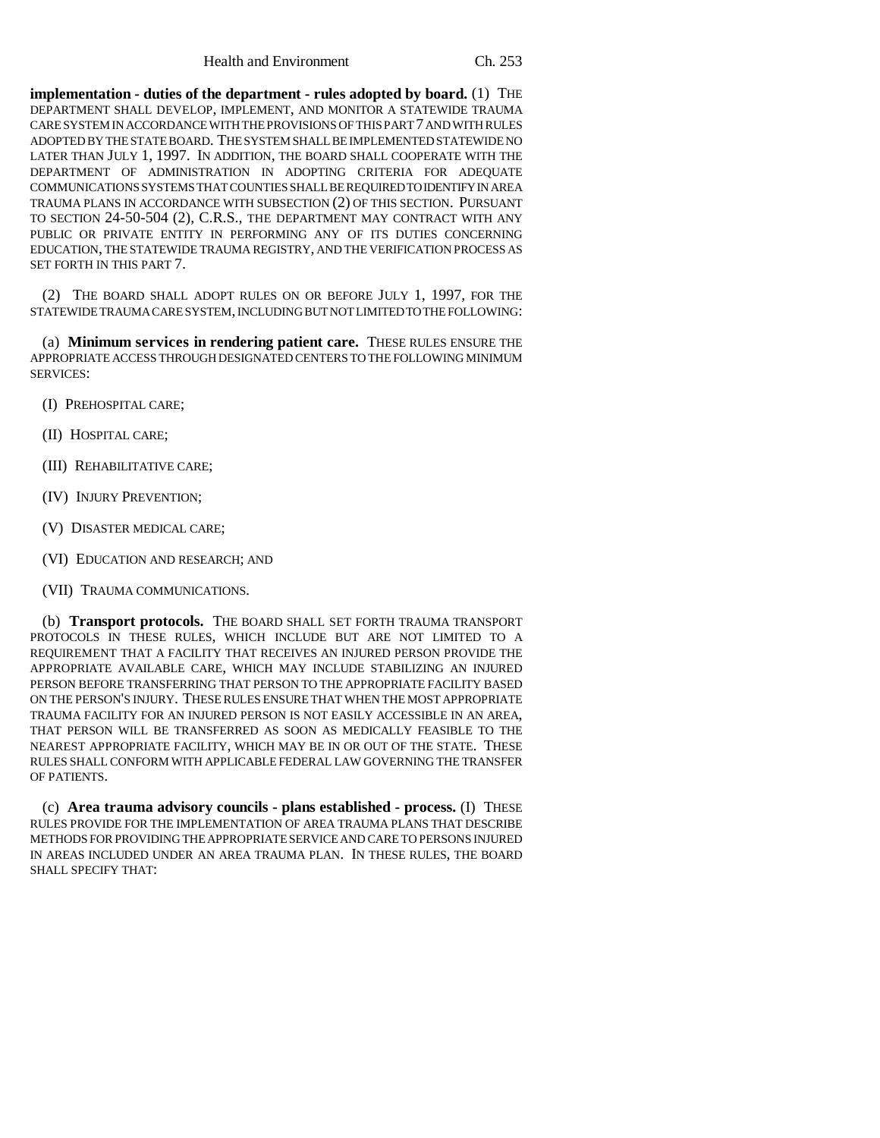**implementation - duties of the department - rules adopted by board.** (1) THE DEPARTMENT SHALL DEVELOP, IMPLEMENT, AND MONITOR A STATEWIDE TRAUMA CARE SYSTEM IN ACCORDANCE WITH THE PROVISIONS OF THIS PART 7 AND WITH RULES ADOPTED BY THE STATE BOARD. THE SYSTEM SHALL BE IMPLEMENTED STATEWIDE NO LATER THAN JULY 1, 1997. IN ADDITION, THE BOARD SHALL COOPERATE WITH THE DEPARTMENT OF ADMINISTRATION IN ADOPTING CRITERIA FOR ADEQUATE COMMUNICATIONS SYSTEMS THAT COUNTIES SHALL BE REQUIRED TO IDENTIFY IN AREA TRAUMA PLANS IN ACCORDANCE WITH SUBSECTION (2) OF THIS SECTION. PURSUANT TO SECTION 24-50-504 (2), C.R.S., THE DEPARTMENT MAY CONTRACT WITH ANY PUBLIC OR PRIVATE ENTITY IN PERFORMING ANY OF ITS DUTIES CONCERNING EDUCATION, THE STATEWIDE TRAUMA REGISTRY, AND THE VERIFICATION PROCESS AS SET FORTH IN THIS PART 7.

(2) THE BOARD SHALL ADOPT RULES ON OR BEFORE JULY 1, 1997, FOR THE STATEWIDE TRAUMA CARE SYSTEM, INCLUDING BUT NOT LIMITED TO THE FOLLOWING:

(a) **Minimum services in rendering patient care.** THESE RULES ENSURE THE APPROPRIATE ACCESS THROUGH DESIGNATED CENTERS TO THE FOLLOWING MINIMUM SERVICES:

- (I) PREHOSPITAL CARE;
- (II) HOSPITAL CARE;
- (III) REHABILITATIVE CARE;
- (IV) INJURY PREVENTION;
- (V) DISASTER MEDICAL CARE;
- (VI) EDUCATION AND RESEARCH; AND
- (VII) TRAUMA COMMUNICATIONS.

(b) **Transport protocols.** THE BOARD SHALL SET FORTH TRAUMA TRANSPORT PROTOCOLS IN THESE RULES, WHICH INCLUDE BUT ARE NOT LIMITED TO A REQUIREMENT THAT A FACILITY THAT RECEIVES AN INJURED PERSON PROVIDE THE APPROPRIATE AVAILABLE CARE, WHICH MAY INCLUDE STABILIZING AN INJURED PERSON BEFORE TRANSFERRING THAT PERSON TO THE APPROPRIATE FACILITY BASED ON THE PERSON'S INJURY. THESE RULES ENSURE THAT WHEN THE MOST APPROPRIATE TRAUMA FACILITY FOR AN INJURED PERSON IS NOT EASILY ACCESSIBLE IN AN AREA, THAT PERSON WILL BE TRANSFERRED AS SOON AS MEDICALLY FEASIBLE TO THE NEAREST APPROPRIATE FACILITY, WHICH MAY BE IN OR OUT OF THE STATE. THESE RULES SHALL CONFORM WITH APPLICABLE FEDERAL LAW GOVERNING THE TRANSFER OF PATIENTS.

(c) **Area trauma advisory councils - plans established - process.** (I) THESE RULES PROVIDE FOR THE IMPLEMENTATION OF AREA TRAUMA PLANS THAT DESCRIBE METHODS FOR PROVIDING THE APPROPRIATE SERVICE AND CARE TO PERSONS INJURED IN AREAS INCLUDED UNDER AN AREA TRAUMA PLAN. IN THESE RULES, THE BOARD SHALL SPECIFY THAT: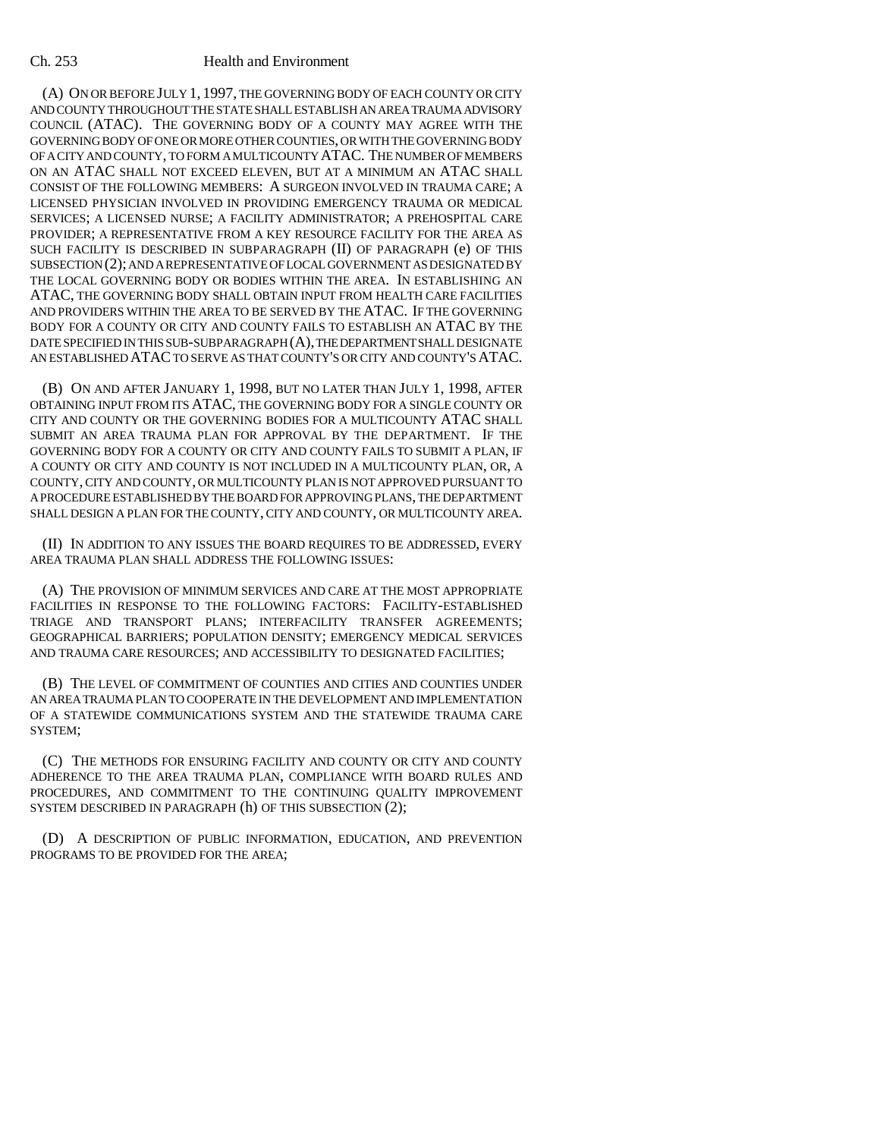(A) ON OR BEFORE JULY 1, 1997, THE GOVERNING BODY OF EACH COUNTY OR CITY AND COUNTY THROUGHOUT THE STATE SHALL ESTABLISH AN AREA TRAUMA ADVISORY COUNCIL (ATAC). THE GOVERNING BODY OF A COUNTY MAY AGREE WITH THE GOVERNING BODY OF ONE OR MORE OTHER COUNTIES, OR WITH THE GOVERNING BODY OF A CITY AND COUNTY, TO FORM A MULTICOUNTY ATAC. THE NUMBER OF MEMBERS ON AN ATAC SHALL NOT EXCEED ELEVEN, BUT AT A MINIMUM AN ATAC SHALL CONSIST OF THE FOLLOWING MEMBERS: A SURGEON INVOLVED IN TRAUMA CARE; A LICENSED PHYSICIAN INVOLVED IN PROVIDING EMERGENCY TRAUMA OR MEDICAL SERVICES; A LICENSED NURSE; A FACILITY ADMINISTRATOR; A PREHOSPITAL CARE PROVIDER; A REPRESENTATIVE FROM A KEY RESOURCE FACILITY FOR THE AREA AS SUCH FACILITY IS DESCRIBED IN SUBPARAGRAPH (II) OF PARAGRAPH (e) OF THIS SUBSECTION (2); AND A REPRESENTATIVE OF LOCAL GOVERNMENT AS DESIGNATED BY THE LOCAL GOVERNING BODY OR BODIES WITHIN THE AREA. IN ESTABLISHING AN ATAC, THE GOVERNING BODY SHALL OBTAIN INPUT FROM HEALTH CARE FACILITIES AND PROVIDERS WITHIN THE AREA TO BE SERVED BY THE ATAC. IF THE GOVERNING BODY FOR A COUNTY OR CITY AND COUNTY FAILS TO ESTABLISH AN ATAC BY THE DATE SPECIFIED IN THIS SUB-SUBPARAGRAPH (A), THE DEPARTMENT SHALL DESIGNATE AN ESTABLISHED ATAC TO SERVE AS THAT COUNTY'S OR CITY AND COUNTY'S ATAC.

(B) ON AND AFTER JANUARY 1, 1998, BUT NO LATER THAN JULY 1, 1998, AFTER OBTAINING INPUT FROM ITS ATAC, THE GOVERNING BODY FOR A SINGLE COUNTY OR CITY AND COUNTY OR THE GOVERNING BODIES FOR A MULTICOUNTY ATAC SHALL SUBMIT AN AREA TRAUMA PLAN FOR APPROVAL BY THE DEPARTMENT. IF THE GOVERNING BODY FOR A COUNTY OR CITY AND COUNTY FAILS TO SUBMIT A PLAN, IF A COUNTY OR CITY AND COUNTY IS NOT INCLUDED IN A MULTICOUNTY PLAN, OR, A COUNTY, CITY AND COUNTY, OR MULTICOUNTY PLAN IS NOT APPROVED PURSUANT TO A PROCEDURE ESTABLISHED BY THE BOARD FOR APPROVING PLANS, THE DEPARTMENT SHALL DESIGN A PLAN FOR THE COUNTY, CITY AND COUNTY, OR MULTICOUNTY AREA.

(II) IN ADDITION TO ANY ISSUES THE BOARD REQUIRES TO BE ADDRESSED, EVERY AREA TRAUMA PLAN SHALL ADDRESS THE FOLLOWING ISSUES:

(A) THE PROVISION OF MINIMUM SERVICES AND CARE AT THE MOST APPROPRIATE FACILITIES IN RESPONSE TO THE FOLLOWING FACTORS: FACILITY-ESTABLISHED TRIAGE AND TRANSPORT PLANS; INTERFACILITY TRANSFER AGREEMENTS; GEOGRAPHICAL BARRIERS; POPULATION DENSITY; EMERGENCY MEDICAL SERVICES AND TRAUMA CARE RESOURCES; AND ACCESSIBILITY TO DESIGNATED FACILITIES;

(B) THE LEVEL OF COMMITMENT OF COUNTIES AND CITIES AND COUNTIES UNDER AN AREA TRAUMA PLAN TO COOPERATE IN THE DEVELOPMENT AND IMPLEMENTATION OF A STATEWIDE COMMUNICATIONS SYSTEM AND THE STATEWIDE TRAUMA CARE SYSTEM;

(C) THE METHODS FOR ENSURING FACILITY AND COUNTY OR CITY AND COUNTY ADHERENCE TO THE AREA TRAUMA PLAN, COMPLIANCE WITH BOARD RULES AND PROCEDURES, AND COMMITMENT TO THE CONTINUING QUALITY IMPROVEMENT SYSTEM DESCRIBED IN PARAGRAPH (h) OF THIS SUBSECTION (2);

(D) A DESCRIPTION OF PUBLIC INFORMATION, EDUCATION, AND PREVENTION PROGRAMS TO BE PROVIDED FOR THE AREA;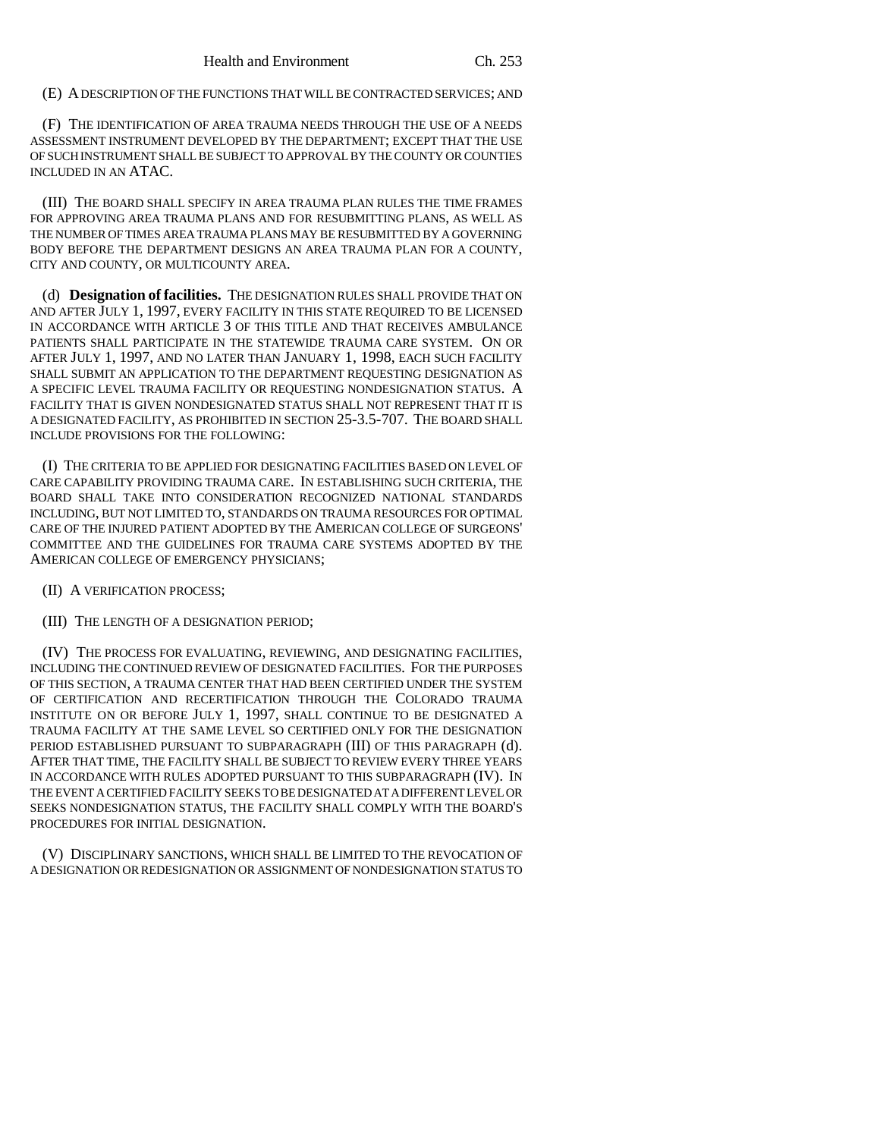(E) A DESCRIPTION OF THE FUNCTIONS THAT WILL BE CONTRACTED SERVICES; AND

(F) THE IDENTIFICATION OF AREA TRAUMA NEEDS THROUGH THE USE OF A NEEDS ASSESSMENT INSTRUMENT DEVELOPED BY THE DEPARTMENT; EXCEPT THAT THE USE OF SUCH INSTRUMENT SHALL BE SUBJECT TO APPROVAL BY THE COUNTY OR COUNTIES INCLUDED IN AN ATAC.

(III) THE BOARD SHALL SPECIFY IN AREA TRAUMA PLAN RULES THE TIME FRAMES FOR APPROVING AREA TRAUMA PLANS AND FOR RESUBMITTING PLANS, AS WELL AS THE NUMBER OF TIMES AREA TRAUMA PLANS MAY BE RESUBMITTED BY A GOVERNING BODY BEFORE THE DEPARTMENT DESIGNS AN AREA TRAUMA PLAN FOR A COUNTY, CITY AND COUNTY, OR MULTICOUNTY AREA.

(d) **Designation of facilities.** THE DESIGNATION RULES SHALL PROVIDE THAT ON AND AFTER JULY 1, 1997, EVERY FACILITY IN THIS STATE REQUIRED TO BE LICENSED IN ACCORDANCE WITH ARTICLE 3 OF THIS TITLE AND THAT RECEIVES AMBULANCE PATIENTS SHALL PARTICIPATE IN THE STATEWIDE TRAUMA CARE SYSTEM. ON OR AFTER JULY 1, 1997, AND NO LATER THAN JANUARY 1, 1998, EACH SUCH FACILITY SHALL SUBMIT AN APPLICATION TO THE DEPARTMENT REQUESTING DESIGNATION AS A SPECIFIC LEVEL TRAUMA FACILITY OR REQUESTING NONDESIGNATION STATUS. A FACILITY THAT IS GIVEN NONDESIGNATED STATUS SHALL NOT REPRESENT THAT IT IS A DESIGNATED FACILITY, AS PROHIBITED IN SECTION 25-3.5-707. THE BOARD SHALL INCLUDE PROVISIONS FOR THE FOLLOWING:

(I) THE CRITERIA TO BE APPLIED FOR DESIGNATING FACILITIES BASED ON LEVEL OF CARE CAPABILITY PROVIDING TRAUMA CARE. IN ESTABLISHING SUCH CRITERIA, THE BOARD SHALL TAKE INTO CONSIDERATION RECOGNIZED NATIONAL STANDARDS INCLUDING, BUT NOT LIMITED TO, STANDARDS ON TRAUMA RESOURCES FOR OPTIMAL CARE OF THE INJURED PATIENT ADOPTED BY THE AMERICAN COLLEGE OF SURGEONS' COMMITTEE AND THE GUIDELINES FOR TRAUMA CARE SYSTEMS ADOPTED BY THE AMERICAN COLLEGE OF EMERGENCY PHYSICIANS;

- (II) A VERIFICATION PROCESS;
- (III) THE LENGTH OF A DESIGNATION PERIOD;

(IV) THE PROCESS FOR EVALUATING, REVIEWING, AND DESIGNATING FACILITIES, INCLUDING THE CONTINUED REVIEW OF DESIGNATED FACILITIES. FOR THE PURPOSES OF THIS SECTION, A TRAUMA CENTER THAT HAD BEEN CERTIFIED UNDER THE SYSTEM OF CERTIFICATION AND RECERTIFICATION THROUGH THE COLORADO TRAUMA INSTITUTE ON OR BEFORE JULY 1, 1997, SHALL CONTINUE TO BE DESIGNATED A TRAUMA FACILITY AT THE SAME LEVEL SO CERTIFIED ONLY FOR THE DESIGNATION PERIOD ESTABLISHED PURSUANT TO SUBPARAGRAPH (III) OF THIS PARAGRAPH (d). AFTER THAT TIME, THE FACILITY SHALL BE SUBJECT TO REVIEW EVERY THREE YEARS IN ACCORDANCE WITH RULES ADOPTED PURSUANT TO THIS SUBPARAGRAPH (IV). IN THE EVENT A CERTIFIED FACILITY SEEKS TO BE DESIGNATED AT A DIFFERENT LEVEL OR SEEKS NONDESIGNATION STATUS, THE FACILITY SHALL COMPLY WITH THE BOARD'S PROCEDURES FOR INITIAL DESIGNATION.

(V) DISCIPLINARY SANCTIONS, WHICH SHALL BE LIMITED TO THE REVOCATION OF A DESIGNATION OR REDESIGNATION OR ASSIGNMENT OF NONDESIGNATION STATUS TO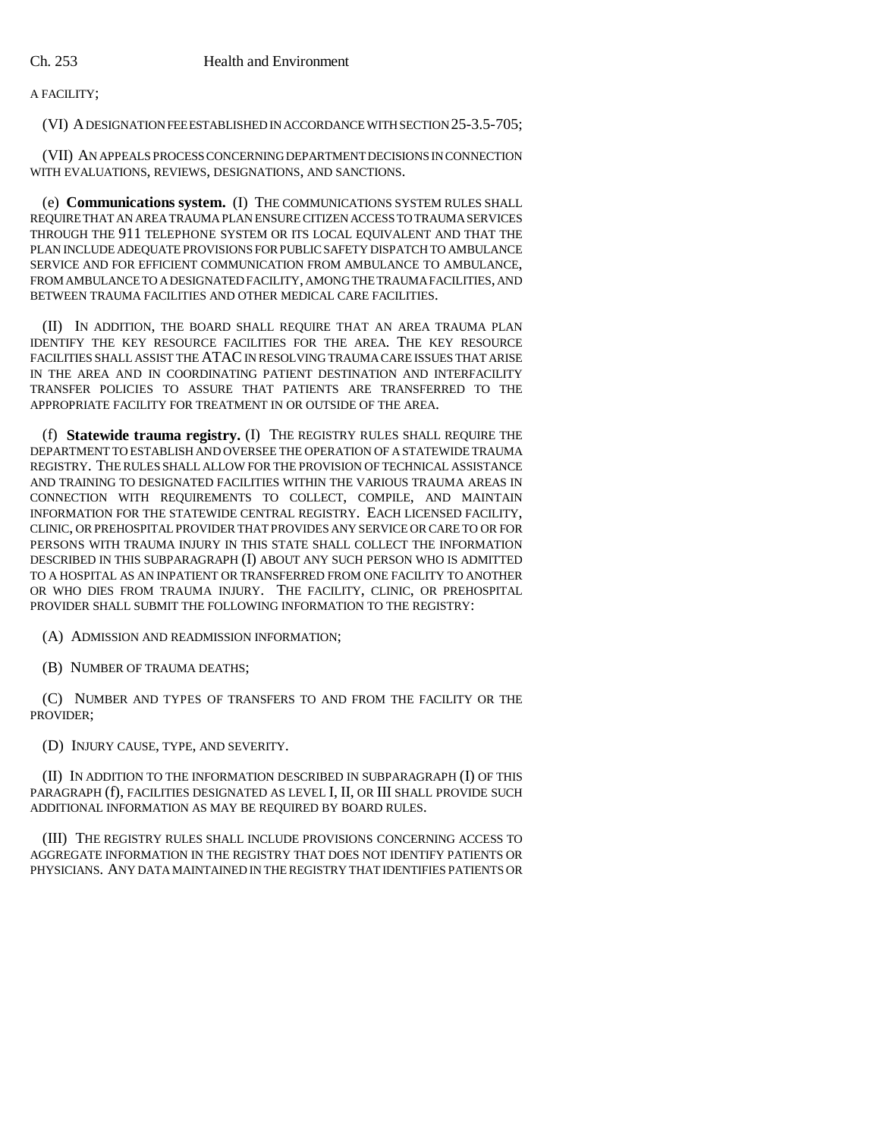A FACILITY;

(VI) A DESIGNATION FEE ESTABLISHED IN ACCORDANCE WITH SECTION 25-3.5-705;

(VII) AN APPEALS PROCESS CONCERNING DEPARTMENT DECISIONS IN CONNECTION WITH EVALUATIONS, REVIEWS, DESIGNATIONS, AND SANCTIONS.

(e) **Communications system.** (I) THE COMMUNICATIONS SYSTEM RULES SHALL REQUIRE THAT AN AREA TRAUMA PLAN ENSURE CITIZEN ACCESS TO TRAUMA SERVICES THROUGH THE 911 TELEPHONE SYSTEM OR ITS LOCAL EQUIVALENT AND THAT THE PLAN INCLUDE ADEQUATE PROVISIONS FOR PUBLIC SAFETY DISPATCH TO AMBULANCE SERVICE AND FOR EFFICIENT COMMUNICATION FROM AMBULANCE TO AMBULANCE, FROM AMBULANCE TO A DESIGNATED FACILITY, AMONG THE TRAUMA FACILITIES, AND BETWEEN TRAUMA FACILITIES AND OTHER MEDICAL CARE FACILITIES.

(II) IN ADDITION, THE BOARD SHALL REQUIRE THAT AN AREA TRAUMA PLAN IDENTIFY THE KEY RESOURCE FACILITIES FOR THE AREA. THE KEY RESOURCE FACILITIES SHALL ASSIST THE ATAC IN RESOLVING TRAUMA CARE ISSUES THAT ARISE IN THE AREA AND IN COORDINATING PATIENT DESTINATION AND INTERFACILITY TRANSFER POLICIES TO ASSURE THAT PATIENTS ARE TRANSFERRED TO THE APPROPRIATE FACILITY FOR TREATMENT IN OR OUTSIDE OF THE AREA.

(f) **Statewide trauma registry.** (I) THE REGISTRY RULES SHALL REQUIRE THE DEPARTMENT TO ESTABLISH AND OVERSEE THE OPERATION OF A STATEWIDE TRAUMA REGISTRY. THE RULES SHALL ALLOW FOR THE PROVISION OF TECHNICAL ASSISTANCE AND TRAINING TO DESIGNATED FACILITIES WITHIN THE VARIOUS TRAUMA AREAS IN CONNECTION WITH REQUIREMENTS TO COLLECT, COMPILE, AND MAINTAIN INFORMATION FOR THE STATEWIDE CENTRAL REGISTRY. EACH LICENSED FACILITY, CLINIC, OR PREHOSPITAL PROVIDER THAT PROVIDES ANY SERVICE OR CARE TO OR FOR PERSONS WITH TRAUMA INJURY IN THIS STATE SHALL COLLECT THE INFORMATION DESCRIBED IN THIS SUBPARAGRAPH (I) ABOUT ANY SUCH PERSON WHO IS ADMITTED TO A HOSPITAL AS AN INPATIENT OR TRANSFERRED FROM ONE FACILITY TO ANOTHER OR WHO DIES FROM TRAUMA INJURY. THE FACILITY, CLINIC, OR PREHOSPITAL PROVIDER SHALL SUBMIT THE FOLLOWING INFORMATION TO THE REGISTRY:

(A) ADMISSION AND READMISSION INFORMATION;

(B) NUMBER OF TRAUMA DEATHS;

(C) NUMBER AND TYPES OF TRANSFERS TO AND FROM THE FACILITY OR THE PROVIDER;

(D) INJURY CAUSE, TYPE, AND SEVERITY.

(II) IN ADDITION TO THE INFORMATION DESCRIBED IN SUBPARAGRAPH (I) OF THIS PARAGRAPH (f), FACILITIES DESIGNATED AS LEVEL I, II, OR III SHALL PROVIDE SUCH ADDITIONAL INFORMATION AS MAY BE REQUIRED BY BOARD RULES.

(III) THE REGISTRY RULES SHALL INCLUDE PROVISIONS CONCERNING ACCESS TO AGGREGATE INFORMATION IN THE REGISTRY THAT DOES NOT IDENTIFY PATIENTS OR PHYSICIANS. ANY DATA MAINTAINED IN THE REGISTRY THAT IDENTIFIES PATIENTS OR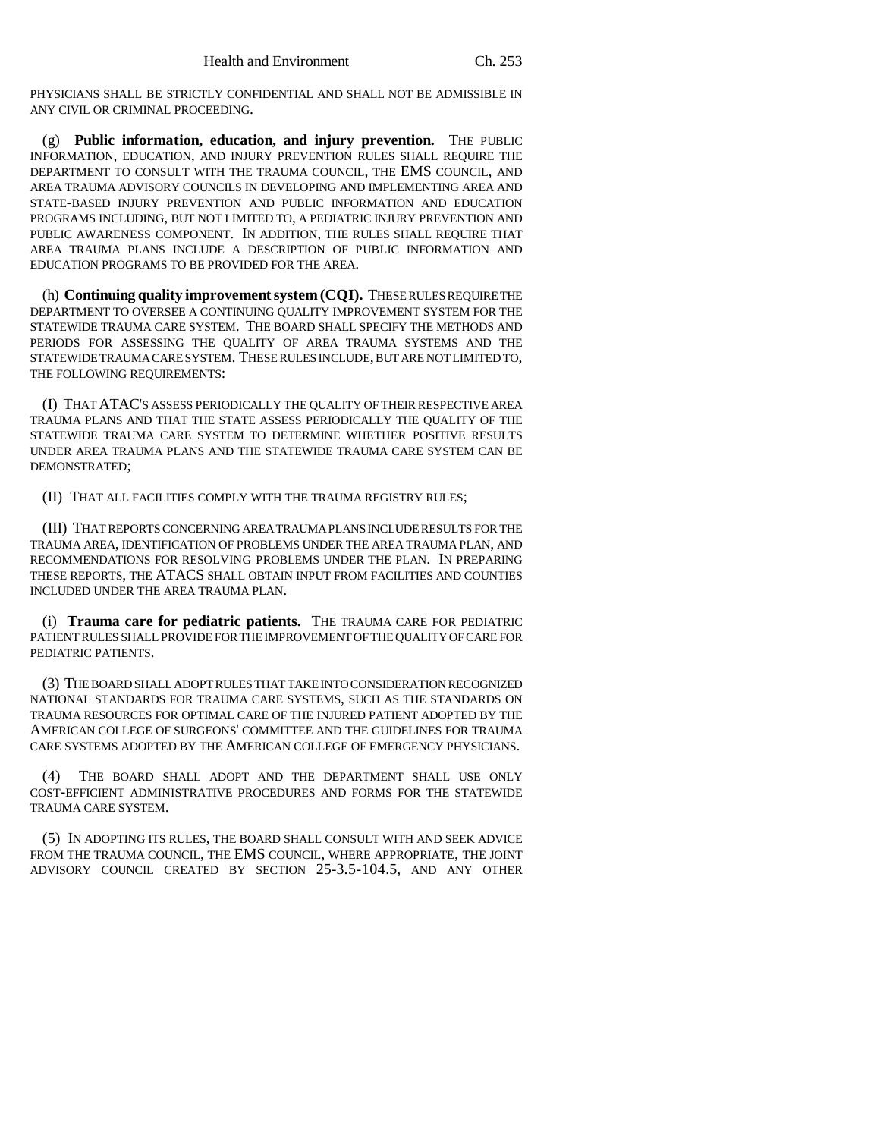PHYSICIANS SHALL BE STRICTLY CONFIDENTIAL AND SHALL NOT BE ADMISSIBLE IN ANY CIVIL OR CRIMINAL PROCEEDING.

(g) **Public information, education, and injury prevention.** THE PUBLIC INFORMATION, EDUCATION, AND INJURY PREVENTION RULES SHALL REQUIRE THE DEPARTMENT TO CONSULT WITH THE TRAUMA COUNCIL, THE EMS COUNCIL, AND AREA TRAUMA ADVISORY COUNCILS IN DEVELOPING AND IMPLEMENTING AREA AND STATE-BASED INJURY PREVENTION AND PUBLIC INFORMATION AND EDUCATION PROGRAMS INCLUDING, BUT NOT LIMITED TO, A PEDIATRIC INJURY PREVENTION AND PUBLIC AWARENESS COMPONENT. IN ADDITION, THE RULES SHALL REQUIRE THAT AREA TRAUMA PLANS INCLUDE A DESCRIPTION OF PUBLIC INFORMATION AND EDUCATION PROGRAMS TO BE PROVIDED FOR THE AREA.

(h) **Continuing quality improvement system (CQI).** THESE RULES REQUIRE THE DEPARTMENT TO OVERSEE A CONTINUING QUALITY IMPROVEMENT SYSTEM FOR THE STATEWIDE TRAUMA CARE SYSTEM. THE BOARD SHALL SPECIFY THE METHODS AND PERIODS FOR ASSESSING THE QUALITY OF AREA TRAUMA SYSTEMS AND THE STATEWIDE TRAUMA CARE SYSTEM. THESE RULES INCLUDE, BUT ARE NOT LIMITED TO, THE FOLLOWING REQUIREMENTS:

(I) THAT ATAC'S ASSESS PERIODICALLY THE QUALITY OF THEIR RESPECTIVE AREA TRAUMA PLANS AND THAT THE STATE ASSESS PERIODICALLY THE QUALITY OF THE STATEWIDE TRAUMA CARE SYSTEM TO DETERMINE WHETHER POSITIVE RESULTS UNDER AREA TRAUMA PLANS AND THE STATEWIDE TRAUMA CARE SYSTEM CAN BE DEMONSTRATED;

(II) THAT ALL FACILITIES COMPLY WITH THE TRAUMA REGISTRY RULES;

(III) THAT REPORTS CONCERNING AREA TRAUMA PLANS INCLUDE RESULTS FOR THE TRAUMA AREA, IDENTIFICATION OF PROBLEMS UNDER THE AREA TRAUMA PLAN, AND RECOMMENDATIONS FOR RESOLVING PROBLEMS UNDER THE PLAN. IN PREPARING THESE REPORTS, THE ATACS SHALL OBTAIN INPUT FROM FACILITIES AND COUNTIES INCLUDED UNDER THE AREA TRAUMA PLAN.

(i) **Trauma care for pediatric patients.** THE TRAUMA CARE FOR PEDIATRIC PATIENT RULES SHALL PROVIDE FOR THE IMPROVEMENT OF THE QUALITY OF CARE FOR PEDIATRIC PATIENTS.

(3) THE BOARD SHALL ADOPT RULES THAT TAKE INTO CONSIDERATION RECOGNIZED NATIONAL STANDARDS FOR TRAUMA CARE SYSTEMS, SUCH AS THE STANDARDS ON TRAUMA RESOURCES FOR OPTIMAL CARE OF THE INJURED PATIENT ADOPTED BY THE AMERICAN COLLEGE OF SURGEONS' COMMITTEE AND THE GUIDELINES FOR TRAUMA CARE SYSTEMS ADOPTED BY THE AMERICAN COLLEGE OF EMERGENCY PHYSICIANS.

(4) THE BOARD SHALL ADOPT AND THE DEPARTMENT SHALL USE ONLY COST-EFFICIENT ADMINISTRATIVE PROCEDURES AND FORMS FOR THE STATEWIDE TRAUMA CARE SYSTEM.

(5) IN ADOPTING ITS RULES, THE BOARD SHALL CONSULT WITH AND SEEK ADVICE FROM THE TRAUMA COUNCIL, THE EMS COUNCIL, WHERE APPROPRIATE, THE JOINT ADVISORY COUNCIL CREATED BY SECTION 25-3.5-104.5, AND ANY OTHER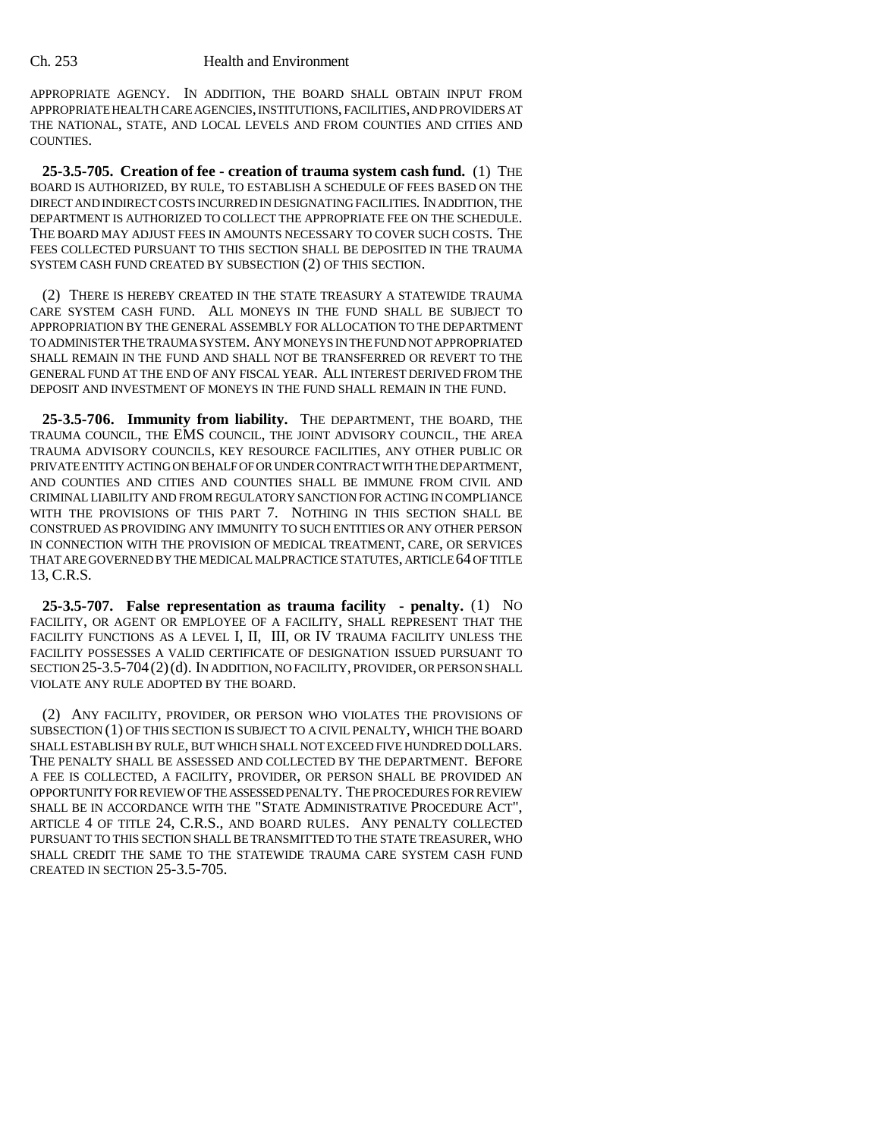APPROPRIATE AGENCY. IN ADDITION, THE BOARD SHALL OBTAIN INPUT FROM APPROPRIATE HEALTH CARE AGENCIES, INSTITUTIONS, FACILITIES, AND PROVIDERS AT THE NATIONAL, STATE, AND LOCAL LEVELS AND FROM COUNTIES AND CITIES AND COUNTIES.

**25-3.5-705. Creation of fee - creation of trauma system cash fund.** (1) THE BOARD IS AUTHORIZED, BY RULE, TO ESTABLISH A SCHEDULE OF FEES BASED ON THE DIRECT AND INDIRECT COSTS INCURRED IN DESIGNATING FACILITIES. IN ADDITION, THE DEPARTMENT IS AUTHORIZED TO COLLECT THE APPROPRIATE FEE ON THE SCHEDULE. THE BOARD MAY ADJUST FEES IN AMOUNTS NECESSARY TO COVER SUCH COSTS. THE FEES COLLECTED PURSUANT TO THIS SECTION SHALL BE DEPOSITED IN THE TRAUMA SYSTEM CASH FUND CREATED BY SUBSECTION (2) OF THIS SECTION.

(2) THERE IS HEREBY CREATED IN THE STATE TREASURY A STATEWIDE TRAUMA CARE SYSTEM CASH FUND. ALL MONEYS IN THE FUND SHALL BE SUBJECT TO APPROPRIATION BY THE GENERAL ASSEMBLY FOR ALLOCATION TO THE DEPARTMENT TO ADMINISTER THE TRAUMA SYSTEM. ANY MONEYS IN THE FUND NOT APPROPRIATED SHALL REMAIN IN THE FUND AND SHALL NOT BE TRANSFERRED OR REVERT TO THE GENERAL FUND AT THE END OF ANY FISCAL YEAR. ALL INTEREST DERIVED FROM THE DEPOSIT AND INVESTMENT OF MONEYS IN THE FUND SHALL REMAIN IN THE FUND.

**25-3.5-706. Immunity from liability.** THE DEPARTMENT, THE BOARD, THE TRAUMA COUNCIL, THE EMS COUNCIL, THE JOINT ADVISORY COUNCIL, THE AREA TRAUMA ADVISORY COUNCILS, KEY RESOURCE FACILITIES, ANY OTHER PUBLIC OR PRIVATE ENTITY ACTING ON BEHALF OF OR UNDER CONTRACT WITH THE DEPARTMENT, AND COUNTIES AND CITIES AND COUNTIES SHALL BE IMMUNE FROM CIVIL AND CRIMINAL LIABILITY AND FROM REGULATORY SANCTION FOR ACTING IN COMPLIANCE WITH THE PROVISIONS OF THIS PART 7. NOTHING IN THIS SECTION SHALL BE CONSTRUED AS PROVIDING ANY IMMUNITY TO SUCH ENTITIES OR ANY OTHER PERSON IN CONNECTION WITH THE PROVISION OF MEDICAL TREATMENT, CARE, OR SERVICES THAT ARE GOVERNED BY THE MEDICAL MALPRACTICE STATUTES, ARTICLE 64 OF TITLE 13, C.R.S.

**25-3.5-707. False representation as trauma facility - penalty.** (1) NO FACILITY, OR AGENT OR EMPLOYEE OF A FACILITY, SHALL REPRESENT THAT THE FACILITY FUNCTIONS AS A LEVEL I, II, III, OR IV TRAUMA FACILITY UNLESS THE FACILITY POSSESSES A VALID CERTIFICATE OF DESIGNATION ISSUED PURSUANT TO SECTION 25-3.5-704(2)(d). IN ADDITION, NO FACILITY, PROVIDER, OR PERSON SHALL VIOLATE ANY RULE ADOPTED BY THE BOARD.

(2) ANY FACILITY, PROVIDER, OR PERSON WHO VIOLATES THE PROVISIONS OF SUBSECTION (1) OF THIS SECTION IS SUBJECT TO A CIVIL PENALTY, WHICH THE BOARD SHALL ESTABLISH BY RULE, BUT WHICH SHALL NOT EXCEED FIVE HUNDRED DOLLARS. THE PENALTY SHALL BE ASSESSED AND COLLECTED BY THE DEPARTMENT. BEFORE A FEE IS COLLECTED, A FACILITY, PROVIDER, OR PERSON SHALL BE PROVIDED AN OPPORTUNITY FOR REVIEW OF THE ASSESSED PENALTY. THE PROCEDURES FOR REVIEW SHALL BE IN ACCORDANCE WITH THE "STATE ADMINISTRATIVE PROCEDURE ACT", ARTICLE 4 OF TITLE 24, C.R.S., AND BOARD RULES. ANY PENALTY COLLECTED PURSUANT TO THIS SECTION SHALL BE TRANSMITTED TO THE STATE TREASURER, WHO SHALL CREDIT THE SAME TO THE STATEWIDE TRAUMA CARE SYSTEM CASH FUND CREATED IN SECTION 25-3.5-705.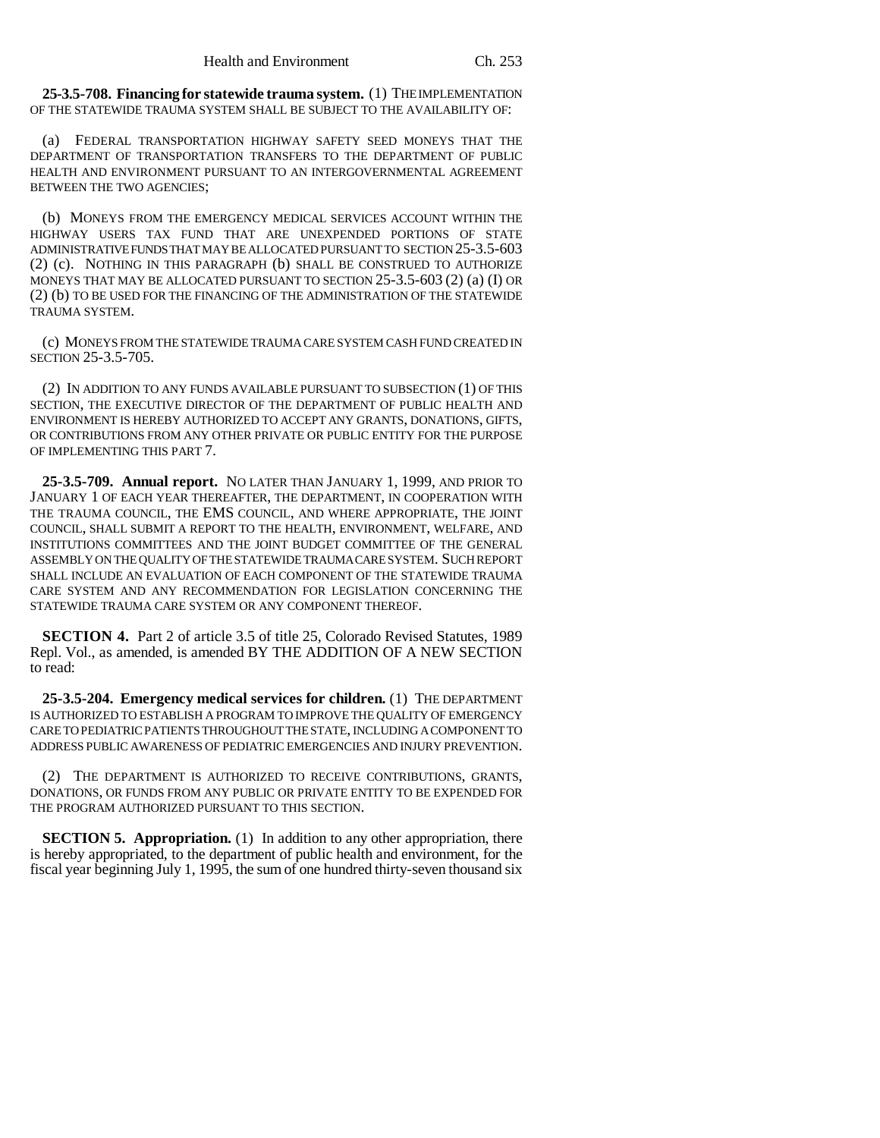**25-3.5-708. Financing for statewide trauma system.** (1) THE IMPLEMENTATION OF THE STATEWIDE TRAUMA SYSTEM SHALL BE SUBJECT TO THE AVAILABILITY OF:

(a) FEDERAL TRANSPORTATION HIGHWAY SAFETY SEED MONEYS THAT THE DEPARTMENT OF TRANSPORTATION TRANSFERS TO THE DEPARTMENT OF PUBLIC HEALTH AND ENVIRONMENT PURSUANT TO AN INTERGOVERNMENTAL AGREEMENT BETWEEN THE TWO AGENCIES;

(b) MONEYS FROM THE EMERGENCY MEDICAL SERVICES ACCOUNT WITHIN THE HIGHWAY USERS TAX FUND THAT ARE UNEXPENDED PORTIONS OF STATE ADMINISTRATIVE FUNDS THAT MAY BE ALLOCATED PURSUANT TO SECTION 25-3.5-603 (2) (c). NOTHING IN THIS PARAGRAPH (b) SHALL BE CONSTRUED TO AUTHORIZE MONEYS THAT MAY BE ALLOCATED PURSUANT TO SECTION 25-3.5-603 (2) (a) (I) OR (2) (b) TO BE USED FOR THE FINANCING OF THE ADMINISTRATION OF THE STATEWIDE TRAUMA SYSTEM.

(c) MONEYS FROM THE STATEWIDE TRAUMA CARE SYSTEM CASH FUND CREATED IN SECTION 25-3.5-705.

(2) IN ADDITION TO ANY FUNDS AVAILABLE PURSUANT TO SUBSECTION (1) OF THIS SECTION, THE EXECUTIVE DIRECTOR OF THE DEPARTMENT OF PUBLIC HEALTH AND ENVIRONMENT IS HEREBY AUTHORIZED TO ACCEPT ANY GRANTS, DONATIONS, GIFTS, OR CONTRIBUTIONS FROM ANY OTHER PRIVATE OR PUBLIC ENTITY FOR THE PURPOSE OF IMPLEMENTING THIS PART 7.

**25-3.5-709. Annual report.** NO LATER THAN JANUARY 1, 1999, AND PRIOR TO JANUARY 1 OF EACH YEAR THEREAFTER, THE DEPARTMENT, IN COOPERATION WITH THE TRAUMA COUNCIL, THE EMS COUNCIL, AND WHERE APPROPRIATE, THE JOINT COUNCIL, SHALL SUBMIT A REPORT TO THE HEALTH, ENVIRONMENT, WELFARE, AND INSTITUTIONS COMMITTEES AND THE JOINT BUDGET COMMITTEE OF THE GENERAL ASSEMBLY ON THE QUALITY OF THE STATEWIDE TRAUMA CARE SYSTEM. SUCH REPORT SHALL INCLUDE AN EVALUATION OF EACH COMPONENT OF THE STATEWIDE TRAUMA CARE SYSTEM AND ANY RECOMMENDATION FOR LEGISLATION CONCERNING THE STATEWIDE TRAUMA CARE SYSTEM OR ANY COMPONENT THEREOF.

**SECTION 4.** Part 2 of article 3.5 of title 25, Colorado Revised Statutes, 1989 Repl. Vol., as amended, is amended BY THE ADDITION OF A NEW SECTION to read:

**25-3.5-204. Emergency medical services for children.** (1) THE DEPARTMENT IS AUTHORIZED TO ESTABLISH A PROGRAM TO IMPROVE THE QUALITY OF EMERGENCY CARE TO PEDIATRIC PATIENTS THROUGHOUT THE STATE, INCLUDING A COMPONENT TO ADDRESS PUBLIC AWARENESS OF PEDIATRIC EMERGENCIES AND INJURY PREVENTION.

(2) THE DEPARTMENT IS AUTHORIZED TO RECEIVE CONTRIBUTIONS, GRANTS, DONATIONS, OR FUNDS FROM ANY PUBLIC OR PRIVATE ENTITY TO BE EXPENDED FOR THE PROGRAM AUTHORIZED PURSUANT TO THIS SECTION.

**SECTION 5. Appropriation.** (1) In addition to any other appropriation, there is hereby appropriated, to the department of public health and environment, for the fiscal year beginning July 1, 1995, the sum of one hundred thirty-seven thousand six